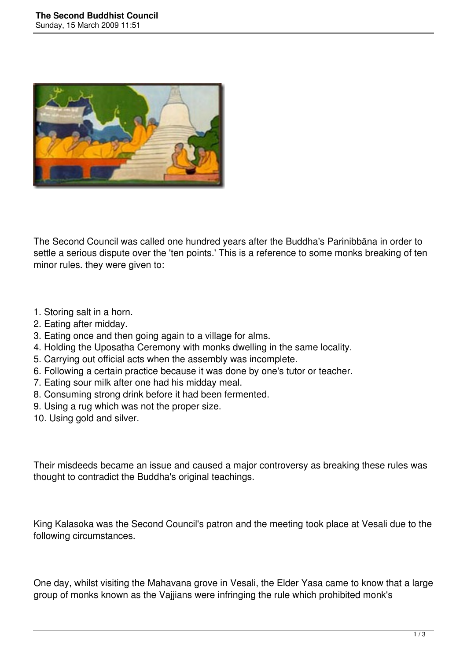

The Second Council was called one hundred years after the Buddha's Parinibbāna in order to settle a serious dispute over the 'ten points.' This is a reference to some monks breaking of ten minor rules. they were given to:

- 1. Storing salt in a horn.
- 2. Eating after midday.
- 3. Eating once and then going again to a village for alms.
- 4. Holding the Uposatha Ceremony with monks dwelling in the same locality.
- 5. Carrying out official acts when the assembly was incomplete.
- 6. Following a certain practice because it was done by one's tutor or teacher.
- 7. Eating sour milk after one had his midday meal.
- 8. Consuming strong drink before it had been fermented.
- 9. Using a rug which was not the proper size.
- 10. Using gold and silver.

Their misdeeds became an issue and caused a major controversy as breaking these rules was thought to contradict the Buddha's original teachings.

King Kalasoka was the Second Council's patron and the meeting took place at Vesali due to the following circumstances.

One day, whilst visiting the Mahavana grove in Vesali, the Elder Yasa came to know that a large group of monks known as the Vajjians were infringing the rule which prohibited monk's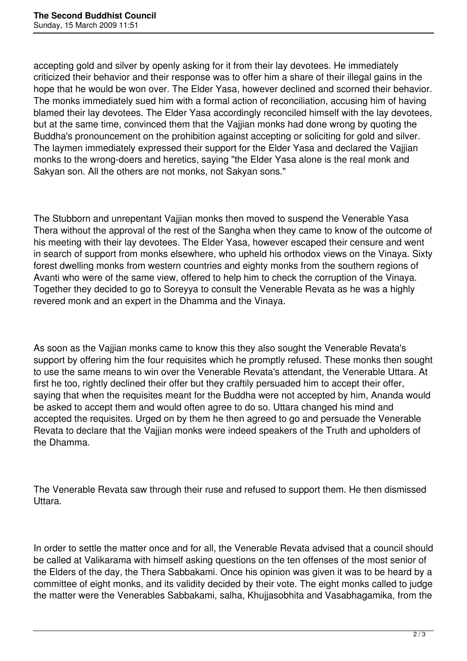accepting gold and silver by openly asking for it from their lay devotees. He immediately criticized their behavior and their response was to offer him a share of their illegal gains in the hope that he would be won over. The Elder Yasa, however declined and scorned their behavior. The monks immediately sued him with a formal action of reconciliation, accusing him of having blamed their lay devotees. The Elder Yasa accordingly reconciled himself with the lay devotees, but at the same time, convinced them that the Vajjian monks had done wrong by quoting the Buddha's pronouncement on the prohibition against accepting or soliciting for gold and silver. The laymen immediately expressed their support for the Elder Yasa and declared the Vajjian monks to the wrong-doers and heretics, saying "the Elder Yasa alone is the real monk and Sakyan son. All the others are not monks, not Sakyan sons."

The Stubborn and unrepentant Vajjian monks then moved to suspend the Venerable Yasa Thera without the approval of the rest of the Sangha when they came to know of the outcome of his meeting with their lay devotees. The Elder Yasa, however escaped their censure and went in search of support from monks elsewhere, who upheld his orthodox views on the Vinaya. Sixty forest dwelling monks from western countries and eighty monks from the southern regions of Avanti who were of the same view, offered to help him to check the corruption of the Vinaya. Together they decided to go to Soreyya to consult the Venerable Revata as he was a highly revered monk and an expert in the Dhamma and the Vinaya.

As soon as the Vajjian monks came to know this they also sought the Venerable Revata's support by offering him the four requisites which he promptly refused. These monks then sought to use the same means to win over the Venerable Revata's attendant, the Venerable Uttara. At first he too, rightly declined their offer but they craftily persuaded him to accept their offer, saying that when the requisites meant for the Buddha were not accepted by him, Ananda would be asked to accept them and would often agree to do so. Uttara changed his mind and accepted the requisites. Urged on by them he then agreed to go and persuade the Venerable Revata to declare that the Vajjian monks were indeed speakers of the Truth and upholders of the Dhamma.

The Venerable Revata saw through their ruse and refused to support them. He then dismissed Uttara.

In order to settle the matter once and for all, the Venerable Revata advised that a council should be called at Valikarama with himself asking questions on the ten offenses of the most senior of the Elders of the day, the Thera Sabbakami. Once his opinion was given it was to be heard by a committee of eight monks, and its validity decided by their vote. The eight monks called to judge the matter were the Venerables Sabbakami, salha, Khujjasobhita and Vasabhagamika, from the